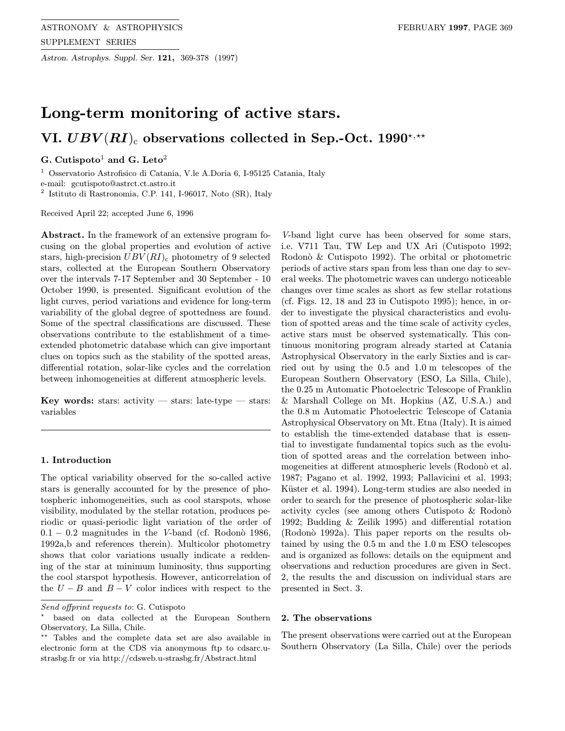Astron. Astrophys. Suppl. Ser. 121, 369-378 (1997)

# Long-term monitoring of active stars. VI.  $UBV(RI)_{c}$  observations collected in Sep.-Oct. 1990\*,\*\*

# G. Cutispoto<sup>1</sup> and G. Leto<sup>2</sup>

<sup>1</sup> Osservatorio Astrofisico di Catania, V.le A.Doria 6, I-95125 Catania, Italy

e-mail: gcutispoto@astrct.ct.astro.it

<sup>2</sup> Istituto di Rastronomia, C.P. 141, I-96017, Noto (SR), Italy

Received April 22; accepted June 6, 1996

Abstract. In the framework of an extensive program focusing on the global properties and evolution of active stars, high-precision  $UBV(RI)_{c}$  photometry of 9 selected stars, collected at the European Southern Observatory over the intervals 7-17 September and 30 September - 10 October 1990, is presented. Significant evolution of the light curves, period variations and evidence for long-term variability of the global degree of spottedness are found. Some of the spectral classifications are discussed. These observations contribute to the establishment of a timeextended photometric database which can give important clues on topics such as the stability of the spotted areas, differential rotation, solar-like cycles and the correlation between inhomogeneities at different atmospheric levels.

Key words: stars: activity  $-$  stars: late-type  $-$  stars: variables

### 1. Introduction

The optical variability observed for the so-called active stars is generally accounted for by the presence of photospheric inhomogeneities, such as cool starspots, whose visibility, modulated by the stellar rotation, produces periodic or quasi-periodic light variation of the order of  $0.1 - 0.2$  magnitudes in the V-band (cf. Rodono 1986, 1992a,b and references therein). Multicolor photometry shows that color variations usually indicate a reddening of the star at minimum luminosity, thus supporting the cool starspot hypothesis. However, anticorrelation of the  $U - B$  and  $B - V$  color indices with respect to the

V-band light curve has been observed for some stars, i.e. V711 Tau, TW Lep and UX Ari (Cutispoto 1992; Rodonò  $&$  Cutispoto 1992). The orbital or photometric periods of active stars span from less than one day to several weeks. The photometric waves can undergo noticeable changes over time scales as short as few stellar rotations (cf. Figs. 12, 18 and 23 in Cutispoto 1995); hence, in order to investigate the physical characteristics and evolution of spotted areas and the time scale of activity cycles, active stars must be observed systematically. This continuous monitoring program already started at Catania Astrophysical Observatory in the early Sixties and is carried out by using the 0.5 and 1.0 m telescopes of the European Southern Observatory (ESO, La Silla, Chile), the 0.25 m Automatic Photoelectric Telescope of Franklin & Marshall College on Mt. Hopkins (AZ, U.S.A.) and the 0.8 m Automatic Photoelectric Telescope of Catania Astrophysical Observatory on Mt. Etna (Italy). It is aimed to establish the time-extended database that is essential to investigate fundamental topics such as the evolution of spotted areas and the correlation between inhomogeneities at different atmospheric levels (Rodonò et al. 1987; Pagano et al. 1992, 1993; Pallavicini et al. 1993; Küster et al. 1994). Long-term studies are also needed in order to search for the presence of photospheric solar-like activity cycles (see among others Cutispoto & Rodono 1992; Budding & Zeilik 1995) and differential rotation (Rodon`o 1992a). This paper reports on the results obtained by using the 0.5 m and the 1.0 m ESO telescopes and is organized as follows: details on the equipment and observations and reduction procedures are given in Sect. 2, the results the and discussion on individual stars are presented in Sect. 3.

## 2. The observations

The present observations were carried out at the European Southern Observatory (La Silla, Chile) over the periods

Send offprint requests to: G. Cutispoto

based on data collected at the European Southern Observatory, La Silla, Chile.

<sup>\*\*</sup> Tables and the complete data set are also available in electronic form at the CDS via anonymous ftp to cdsarc.ustrasbg.fr or via http://cdsweb.u-strasbg.fr/Abstract.html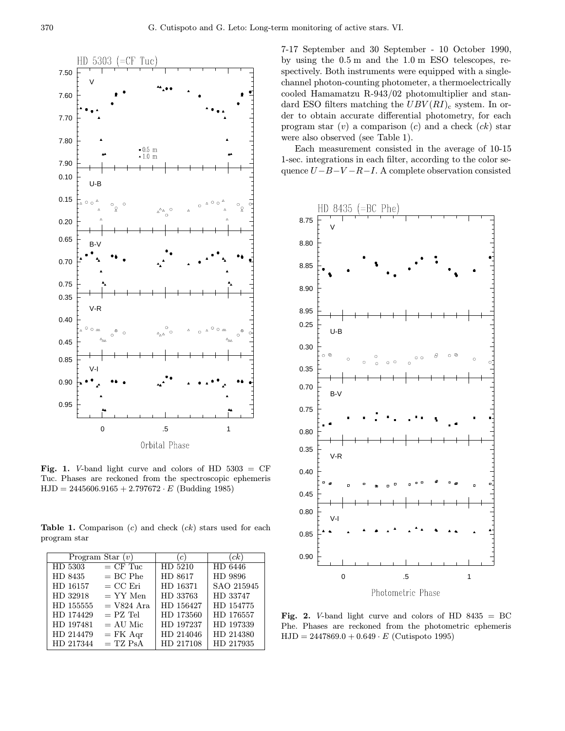

Fig. 1. V-band light curve and colors of HD  $5303 = CF$ Tuc. Phases are reckoned from the spectroscopic ephemeris  $HJD = 2445606.9165 + 2.797672 \cdot E$  (Budding 1985)

**Table 1.** Comparison  $(c)$  and check  $(ck)$  stars used for each program star

|           | Program Star $(v)$ | (c)       | (ck)       |  |
|-----------|--------------------|-----------|------------|--|
| HD 5303   | $=$ CF Tuc         | HD 5210   | HD 6446    |  |
| HD 8435   | $= BC$ Phe         | HD 8617   | HD 9896    |  |
| HD 16157  | $= CC$ Eri         | HD 16371  | SAO 215945 |  |
| HD 32918  | $=$ YY Men         | HD 33763  | HD 33747   |  |
| HD 155555 | $= V824$ Ara       | HD 156427 | HD 154775  |  |
| HD 174429 | $=$ PZ Tel         | HD 173560 | HD 176557  |  |
| HD 197481 | $= AU$ Mic         | HD 197237 | HD 197339  |  |
| HD 214479 | $=$ FK Aqr         | HD 214046 | HD 214380  |  |
| HD 217344 | $= TZ PsA$         | HD 217108 | HD 217935  |  |

7-17 September and 30 September - 10 October 1990, by using the 0.5 m and the 1.0 m ESO telescopes, respectively. Both instruments were equipped with a singlechannel photon-counting photometer, a thermoelectrically cooled Hamamatzu R-943/02 photomultiplier and standard ESO filters matching the  $UBV(RI)_{c}$  system. In order to obtain accurate differential photometry, for each program star  $(v)$  a comparison  $(c)$  and a check  $(ck)$  star were also observed (see Table 1).

Each measurement consisted in the average of 10-15 1-sec. integrations in each filter, according to the color sequence  $U-B-V-R-I$ . A complete observation consisted



Fig. 2. V-band light curve and colors of HD  $8435 = BC$ Phe. Phases are reckoned from the photometric ephemeris  $HJD = 2447869.0 + 0.649 \cdot E$  (Cutispoto 1995)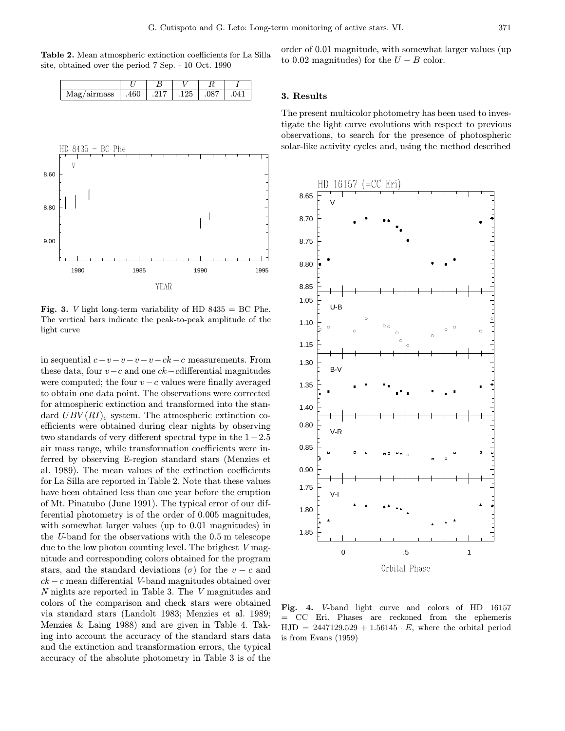Table 2. Mean atmospheric extinction coefficients for La Silla site, obtained over the period 7 Sep. - 10 Oct. 1990

| $\sim$ |  | $\sim$ $\sim$ |  |
|--------|--|---------------|--|



**Fig. 3.** *V* light long-term variability of HD  $8435 = BC$  Phe. The vertical bars indicate the peak-to-peak amplitude of the light curve

in sequential  $c-v-v-v-ck-c$  measurements. From these data, four  $v-c$  and one  $ck-cdifferential$  magnitudes were computed; the four  $v - c$  values were finally averaged to obtain one data point. The observations were corrected for atmospheric extinction and transformed into the standard  $UBV(RI)_{c}$  system. The atmospheric extinction coefficients were obtained during clear nights by observing two standards of very different spectral type in the 1−2.5 air mass range, while transformation coefficients were inferred by observing E-region standard stars (Menzies et al. 1989). The mean values of the extinction coefficients for La Silla are reported in Table 2. Note that these values have been obtained less than one year before the eruption of Mt. Pinatubo (June 1991). The typical error of our differential photometry is of the order of 0.005 magnitudes, with somewhat larger values (up to 0.01 magnitudes) in the U-band for the observations with the 0.5 m telescope due to the low photon counting level. The brighest V magnitude and corresponding colors obtained for the program stars, and the standard deviations ( $\sigma$ ) for the  $v - c$  and  $ck - c$  mean differential V-band magnitudes obtained over N nights are reported in Table 3. The V magnitudes and colors of the comparison and check stars were obtained via standard stars (Landolt 1983; Menzies et al. 1989; Menzies & Laing 1988) and are given in Table 4. Taking into account the accuracy of the standard stars data and the extinction and transformation errors, the typical accuracy of the absolute photometry in Table 3 is of the

order of 0.01 magnitude, with somewhat larger values (up to 0.02 magnitudes) for the  $U - B$  color.

#### 3. Results

The present multicolor photometry has been used to investigate the light curve evolutions with respect to previous observations, to search for the presence of photospheric solar-like activity cycles and, using the method described



Fig. 4. V-band light curve and colors of HD 16157 = CC Eri. Phases are reckoned from the ephemeris  $HJD = 2447129.529 + 1.56145 \cdot E$ , where the orbital period is from Evans (1959)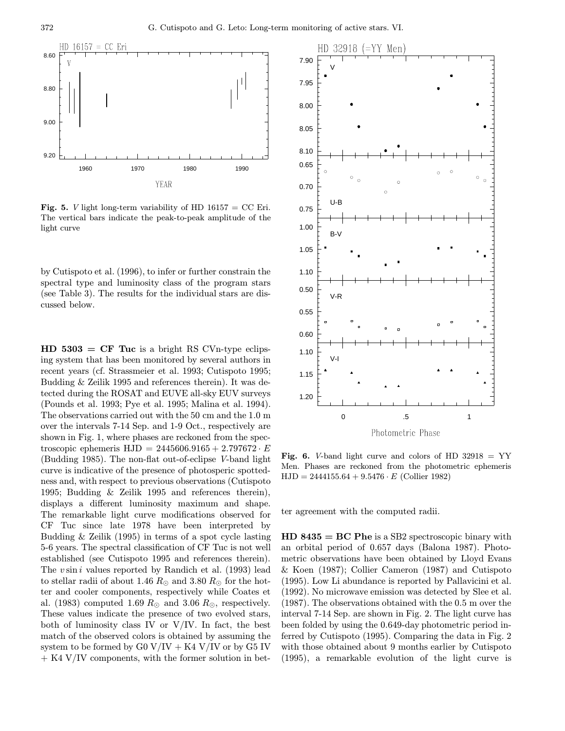

**Fig. 5.** *V* light long-term variability of HD  $16157 = CC$  Eri. The vertical bars indicate the peak-to-peak amplitude of the light curve

by Cutispoto et al. (1996), to infer or further constrain the spectral type and luminosity class of the program stars (see Table 3). The results for the individual stars are discussed below.

 $HD 5303 = CF Tuc$  is a bright RS CVn-type eclipsing system that has been monitored by several authors in recent years (cf. Strassmeier et al. 1993; Cutispoto 1995; Budding & Zeilik 1995 and references therein). It was detected during the ROSAT and EUVE all-sky EUV surveys (Pounds et al. 1993; Pye et al. 1995; Malina et al. 1994). The observations carried out with the 50 cm and the 1.0 m over the intervals 7-14 Sep. and 1-9 Oct., respectively are shown in Fig. 1, where phases are reckoned from the spectroscopic ephemeris  $HJD = 2445606.9165 + 2.797672 \cdot E$ (Budding 1985). The non-flat out-of-eclipse V-band light curve is indicative of the presence of photosperic spottedness and, with respect to previous observations (Cutispoto 1995; Budding & Zeilik 1995 and references therein), displays a different luminosity maximum and shape. The remarkable light curve modifications observed for CF Tuc since late 1978 have been interpreted by Budding & Zeilik (1995) in terms of a spot cycle lasting 5-6 years. The spectral classification of CF Tuc is not well established (see Cutispoto 1995 and references therein). The  $v \sin i$  values reported by Randich et al. (1993) lead to stellar radii of about 1.46  $R_{\odot}$  and 3.80  $R_{\odot}$  for the hotter and cooler components, respectively while Coates et al. (1983) computed 1.69  $R_{\odot}$  and 3.06  $R_{\odot}$ , respectively. These values indicate the presence of two evolved stars, both of luminosity class IV or  $V/IV$ . In fact, the best match of the observed colors is obtained by assuming the system to be formed by  $G0 V/IV + K4 V/IV$  or by  $G5 IV$  $+$  K4 V/IV components, with the former solution in bet-



Fig. 6. V-band light curve and colors of HD  $32918 = YY$ Men. Phases are reckoned from the photometric ephemeris  $HJD = 2444155.64 + 9.5476 \cdot E$  (Collier 1982)

ter agreement with the computed radii.

 $HD 8435 = BC P$ he is a SB2 spectroscopic binary with an orbital period of 0.657 days (Balona 1987). Photometric observations have been obtained by Lloyd Evans & Koen (1987); Collier Cameron (1987) and Cutispoto (1995). Low Li abundance is reported by Pallavicini et al. (1992). No microwave emission was detected by Slee et al. (1987). The observations obtained with the 0.5 m over the interval 7-14 Sep. are shown in Fig. 2. The light curve has been folded by using the 0.649-day photometric period inferred by Cutispoto (1995). Comparing the data in Fig. 2 with those obtained about 9 months earlier by Cutispoto (1995), a remarkable evolution of the light curve is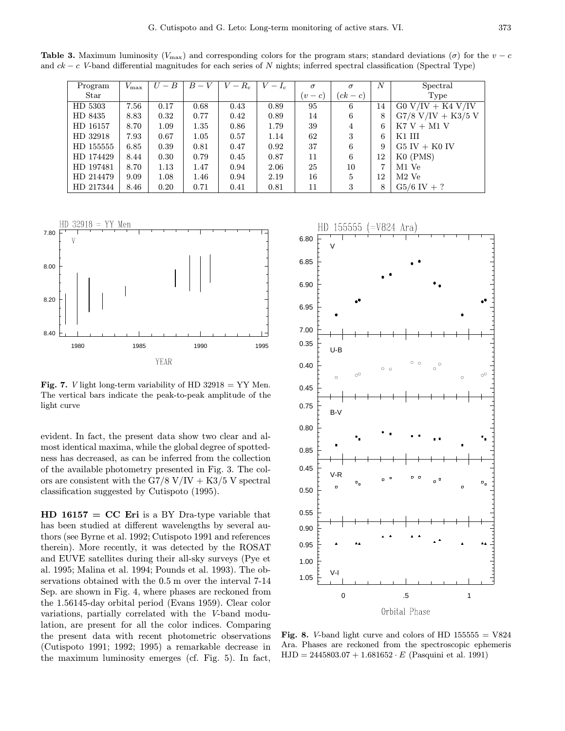**Table 3.** Maximum luminosity ( $V_{\text{max}}$ ) and corresponding colors for the program stars; standard deviations ( $\sigma$ ) for the  $v - c$ and  $ck - c$  V-band differential magnitudes for each series of N nights; inferred spectral classification (Spectral Type)

| Program   | $V_{\rm max}$ | $U-B$ | $B-V$ | $V-R_{\rm c}$ | $-I_c$ | $\sigma$ | $\sigma$   | $\boldsymbol{N}$ | Spectral             |  |
|-----------|---------------|-------|-------|---------------|--------|----------|------------|------------------|----------------------|--|
| Star      |               |       |       |               |        | $v-c$    | $(ck - c)$ |                  | Type                 |  |
| HD 5303   | 7.56          | 0.17  | 0.68  | 0.43          | 0.89   | 95       | 6          | 14               | $G0 V/IV + K4 V/IV$  |  |
| HD 8435   | 8.83          | 0.32  | 0.77  | 0.42          | 0.89   | 14       | 6          | 8                | $G7/8$ V/IV + K3/5 V |  |
| HD 16157  | 8.70          | 1.09  | 1.35  | 0.86          | 1.79   | 39       | 4          | 6                | $K7 V + M1 V$        |  |
| HD 32918  | 7.93          | 0.67  | 1.05  | 0.57          | 1.14   | 62       | 3          | 6                | K1 III               |  |
| HD 155555 | 6.85          | 0.39  | 0.81  | 0.47          | 0.92   | 37       | 6          | 9                | $G5 IV + K0 IV$      |  |
| HD 174429 | 8.44          | 0.30  | 0.79  | 0.45          | 0.87   | 11       | 6          | 12               | $KO$ (PMS)           |  |
| HD 197481 | 8.70          | 1.13  | 1.47  | 0.94          | 2.06   | 25       | 10         | 7                | M1 Ve                |  |
| HD 214479 | 9.09          | 1.08  | 1.46  | 0.94          | 2.19   | 16       | 5          | 12               | $M2$ Ve              |  |
| HD 217344 | 8.46          | 0.20  | 0.71  | 0.41          | 0.81   | 11       | 3          | 8                | $G5/6$ IV + ?        |  |



**Fig. 7.** *V* light long-term variability of HD  $32918 = YY$  Men. The vertical bars indicate the peak-to-peak amplitude of the light curve

evident. In fact, the present data show two clear and almost identical maxima, while the global degree of spottedness has decreased, as can be inferred from the collection of the available photometry presented in Fig. 3. The colors are consistent with the G7/8 V/IV + K3/5 V spectral classification suggested by Cutispoto (1995).

 $HD 16157 = CC Eri$  is a BY Dra-type variable that has been studied at different wavelengths by several authors (see Byrne et al. 1992; Cutispoto 1991 and references therein). More recently, it was detected by the ROSAT and EUVE satellites during their all-sky surveys (Pye et al. 1995; Malina et al. 1994; Pounds et al. 1993). The observations obtained with the 0.5 m over the interval 7-14 Sep. are shown in Fig. 4, where phases are reckoned from the 1.56145-day orbital period (Evans 1959). Clear color variations, partially correlated with the V-band modulation, are present for all the color indices. Comparing the present data with recent photometric observations (Cutispoto 1991; 1992; 1995) a remarkable decrease in the maximum luminosity emerges (cf. Fig. 5). In fact,



Fig. 8. V-band light curve and colors of HD  $155555 = V824$ Ara. Phases are reckoned from the spectroscopic ephemeris  $HJD = 2445803.07 + 1.681652 \cdot E$  (Pasquini et al. 1991)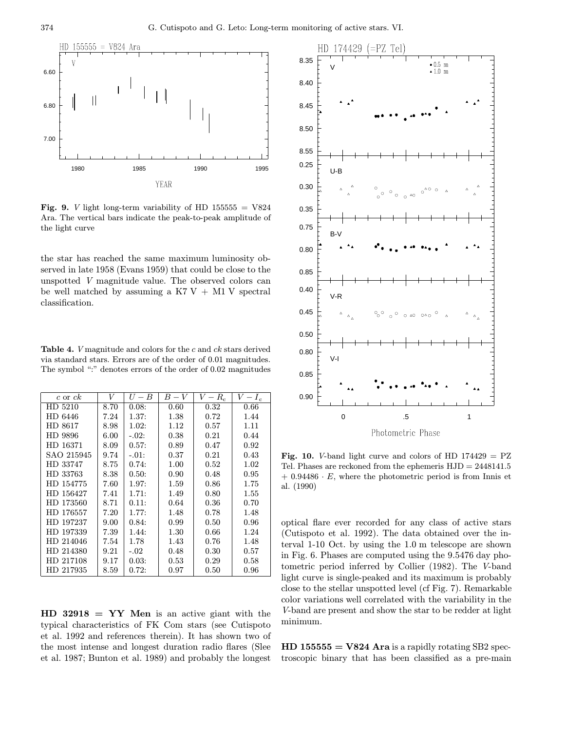

Fig. 9. *V* light long-term variability of HD  $155555 = V824$ Ara. The vertical bars indicate the peak-to-peak amplitude of the light curve

the star has reached the same maximum luminosity observed in late 1958 (Evans 1959) that could be close to the unspotted V magnitude value. The observed colors can be well matched by assuming a K7 V + M1 V spectral classification.

Table 4. V magnitude and colors for the c and ck stars derived via standard stars. Errors are of the order of 0.01 magnitudes. The symbol ":" denotes errors of the order of 0.02 magnitudes

| $c$ or $ck$ | V    | $U-B$   | $B-V$    | $\overline{-}R_c$ | $\overline{V-I_{\rm c}}$ |
|-------------|------|---------|----------|-------------------|--------------------------|
| HD 5210     | 8.70 | 0.08:   | 0.60     | 0.32              | 0.66                     |
| HD 6446     | 7.24 | 1.37:   | 1.38     | 0.72              | 1.44                     |
| HD 8617     | 8.98 | 1.02:   | 1.12     | 0.57              | 1.11                     |
| HD 9896     | 6.00 | $-.02:$ | 0.38     | 0.21              | 0.44                     |
| HD 16371    | 8.09 | 0.57:   | 0.89     | 0.47              | 0.92                     |
| SAO 215945  | 9.74 | $-.01:$ | 0.37     | 0.21              | 0.43                     |
| HD 33747    | 8.75 | 0.74:   | 1.00     | 0.52              | 1.02                     |
| HD 33763    | 8.38 | 0.50:   | 0.90     | 0.48              | 0.95                     |
| HD 154775   | 7.60 | 1.97:   | 1.59     | 0.86              | 1.75                     |
| HD 156427   | 7.41 | 1.71:   | 1.49     | 0.80              | 1.55                     |
| HD 173560   | 8.71 | 0.11:   | 0.64     | 0.36              | 0.70                     |
| HD 176557   | 7.20 | 1.77:   | 1.48     | 0.78              | 1.48                     |
| HD 197237   | 9.00 | 0.84:   | 0.99     | 0.50              | 0.96                     |
| HD 197339   | 7.39 | 1.44:   | $1.30\,$ | 0.66              | 1.24                     |
| HD 214046   | 7.54 | 1.78    | 1.43     | 0.76              | 1.48                     |
| HD 214380   | 9.21 | $-.02$  | 0.48     | 0.30              | 0.57                     |
| HD 217108   | 9.17 | 0.03:   | 0.53     | 0.29              | 0.58                     |
| HD 217935   | 8.59 | 0.72:   | 0.97     | 0.50              | 0.96                     |

 $HD 32918 = YY Men$  is an active giant with the typical characteristics of FK Com stars (see Cutispoto et al. 1992 and references therein). It has shown two of the most intense and longest duration radio flares (Slee et al. 1987; Bunton et al. 1989) and probably the longest



Fig. 10. V-band light curve and colors of HD  $174429 = PZ$ Tel. Phases are reckoned from the ephemeris HJD = 2448141.5  $+ 0.94486 \cdot E$ , where the photometric period is from Innis et al. (1990)

optical flare ever recorded for any class of active stars (Cutispoto et al. 1992). The data obtained over the interval 1-10 Oct. by using the 1.0 m telescope are shown in Fig. 6. Phases are computed using the 9.5476 day photometric period inferred by Collier (1982). The V-band light curve is single-peaked and its maximum is probably close to the stellar unspotted level (cf Fig. 7). Remarkable color variations well correlated with the variability in the V-band are present and show the star to be redder at light minimum.

 $HD 155555 = V824$  Ara is a rapidly rotating SB2 spectroscopic binary that has been classified as a pre-main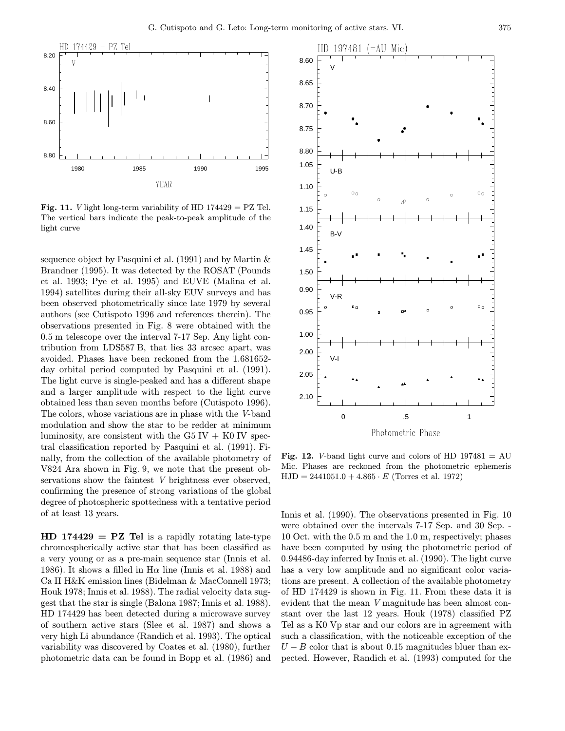

**Fig. 11.** *V* light long-term variability of HD  $174429 = PZ$  Tel. The vertical bars indicate the peak-to-peak amplitude of the light curve

sequence object by Pasquini et al. (1991) and by Martin & Brandner (1995). It was detected by the ROSAT (Pounds et al. 1993; Pye et al. 1995) and EUVE (Malina et al. 1994) satellites during their all-sky EUV surveys and has been observed photometrically since late 1979 by several authors (see Cutispoto 1996 and references therein). The observations presented in Fig. 8 were obtained with the 0.5 m telescope over the interval 7-17 Sep. Any light contribution from LDS587 B, that lies 33 arcsec apart, was avoided. Phases have been reckoned from the 1.681652 day orbital period computed by Pasquini et al. (1991). The light curve is single-peaked and has a different shape and a larger amplitude with respect to the light curve obtained less than seven months before (Cutispoto 1996). The colors, whose variations are in phase with the V-band modulation and show the star to be redder at minimum luminosity, are consistent with the G5 IV  $+$  K0 IV spectral classification reported by Pasquini et al. (1991). Finally, from the collection of the available photometry of V824 Ara shown in Fig. 9, we note that the present observations show the faintest V brightness ever observed, confirming the presence of strong variations of the global degree of photospheric spottedness with a tentative period of at least 13 years.

 $HD 174429 = PZ Tel$  is a rapidly rotating late-type chromospherically active star that has been classified as a very young or as a pre-main sequence star (Innis et al. 1986). It shows a filled in  $H\alpha$  line (Innis et al. 1988) and Ca II H&K emission lines (Bidelman & MacConnell 1973; Houk 1978; Innis et al. 1988). The radial velocity data suggest that the star is single (Balona 1987; Innis et al. 1988). HD 174429 has been detected during a microwave survey of southern active stars (Slee et al. 1987) and shows a very high Li abundance (Randich et al. 1993). The optical variability was discovered by Coates et al. (1980), further photometric data can be found in Bopp et al. (1986) and



Fig. 12. V-band light curve and colors of HD  $197481 = AU$ Mic. Phases are reckoned from the photometric ephemeris  $HJD = 2441051.0 + 4.865 \cdot E$  (Torres et al. 1972)

Innis et al. (1990). The observations presented in Fig. 10 were obtained over the intervals 7-17 Sep. and 30 Sep. - 10 Oct. with the 0.5 m and the 1.0 m, respectively; phases have been computed by using the photometric period of 0.94486-day inferred by Innis et al. (1990). The light curve has a very low amplitude and no significant color variations are present. A collection of the available photometry of HD 174429 is shown in Fig. 11. From these data it is evident that the mean V magnitude has been almost constant over the last 12 years. Houk (1978) classified PZ Tel as a K0 Vp star and our colors are in agreement with such a classification, with the noticeable exception of the  $U - B$  color that is about 0.15 magnitudes bluer than expected. However, Randich et al. (1993) computed for the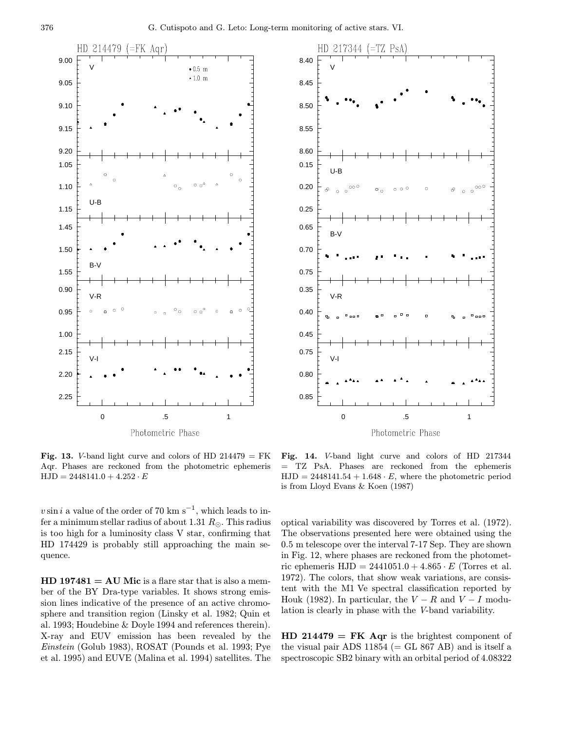



Fig. 13. V-band light curve and colors of HD  $214479 = FK$ Aqr. Phases are reckoned from the photometric ephemeris  $HJD = 2448141.0 + 4.252 \cdot E$ 

v sin i a value of the order of 70 km s<sup>-1</sup>, which leads to infer a minimum stellar radius of about 1.31  $R_{\odot}$ . This radius is too high for a luminosity class V star, confirming that HD 174429 is probably still approaching the main sequence.

 $HD 197481 = AU Mic$  is a flare star that is also a member of the BY Dra-type variables. It shows strong emission lines indicative of the presence of an active chromosphere and transition region (Linsky et al. 1982; Quin et al. 1993; Houdebine & Doyle 1994 and references therein). X-ray and EUV emission has been revealed by the Einstein (Golub 1983), ROSAT (Pounds et al. 1993; Pye et al. 1995) and EUVE (Malina et al. 1994) satellites. The

Fig. 14. V-band light curve and colors of HD 217344 = TZ PsA. Phases are reckoned from the ephemeris  $HJD = 2448141.54 + 1.648 \cdot E$ , where the photometric period is from Lloyd Evans & Koen (1987)

optical variability was discovered by Torres et al. (1972). The observations presented here were obtained using the 0.5 m telescope over the interval 7-17 Sep. They are shown in Fig. 12, where phases are reckoned from the photometric ephemeris  $HJD = 2441051.0 + 4.865 \cdot E$  (Torres et al. 1972). The colors, that show weak variations, are consistent with the M1 Ve spectral classification reported by Houk (1982). In particular, the  $V - R$  and  $V - I$  modulation is clearly in phase with the V-band variability.

 $HD 214479 = FK Aqr$  is the brightest component of the visual pair ADS  $11854$  (= GL 867 AB) and is itself a spectroscopic SB2 binary with an orbital period of 4.08322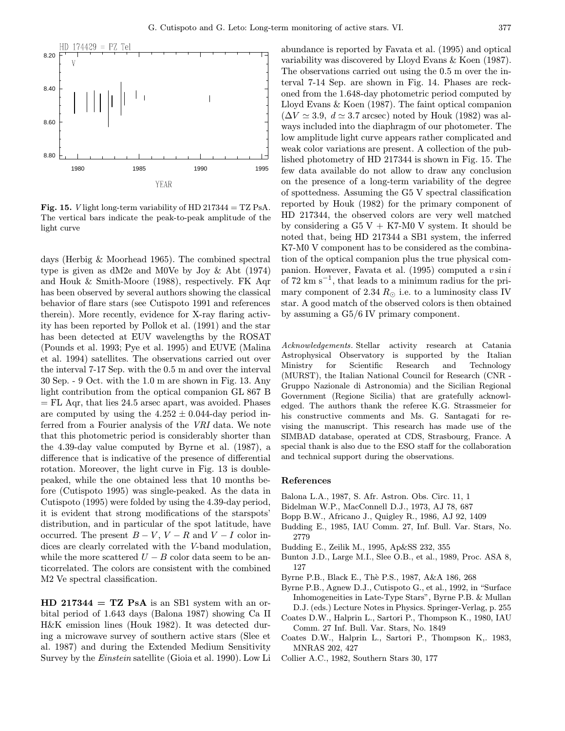

Fig. 15. V light long-term variability of HD 217344 = TZ PsA. The vertical bars indicate the peak-to-peak amplitude of the light curve

days (Herbig & Moorhead 1965). The combined spectral type is given as dM2e and M0Ve by Joy & Abt (1974) and Houk & Smith-Moore (1988), respectively. FK Aqr has been observed by several authors showing the classical behavior of flare stars (see Cutispoto 1991 and references therein). More recently, evidence for X-ray flaring activity has been reported by Pollok et al. (1991) and the star has been detected at EUV wavelengths by the ROSAT (Pounds et al. 1993; Pye et al. 1995) and EUVE (Malina et al. 1994) satellites. The observations carried out over the interval 7-17 Sep. with the 0.5 m and over the interval 30 Sep. - 9 Oct. with the 1.0 m are shown in Fig. 13. Any light contribution from the optical companion GL 867 B  $=$  FL Aqr, that lies 24.5 arsec apart, was avoided. Phases are computed by using the  $4.252 \pm 0.044$ -day period inferred from a Fourier analysis of the VRI data. We note that this photometric period is considerably shorter than the 4.39-day value computed by Byrne et al. (1987), a difference that is indicative of the presence of differential rotation. Moreover, the light curve in Fig. 13 is doublepeaked, while the one obtained less that 10 months before (Cutispoto 1995) was single-peaked. As the data in Cutispoto (1995) were folded by using the 4.39-day period, it is evident that strong modifications of the starspots' distribution, and in particular of the spot latitude, have occurred. The present  $B - V$ ,  $V - R$  and  $V - I$  color indices are clearly correlated with the V-band modulation, while the more scattered  $U - B$  color data seem to be anticorrelated. The colors are consistent with the combined M2 Ve spectral classification.

 $HD 217344 = TZ PSA$  is an SB1 system with an orbital period of 1.643 days (Balona 1987) showing Ca II H&K emission lines (Houk 1982). It was detected during a microwave survey of southern active stars (Slee et al. 1987) and during the Extended Medium Sensitivity Survey by the Einstein satellite (Gioia et al. 1990). Low Li

abundance is reported by Favata et al. (1995) and optical variability was discovered by Lloyd Evans & Koen (1987). The observations carried out using the 0.5 m over the interval 7-14 Sep. are shown in Fig. 14. Phases are reckoned from the 1.648-day photometric period computed by Lloyd Evans & Koen (1987). The faint optical companion  $(\Delta V \simeq 3.9, d \simeq 3.7 \text{ arcsec})$  noted by Houk (1982) was always included into the diaphragm of our photometer. The low amplitude light curve appears rather complicated and weak color variations are present. A collection of the published photometry of HD 217344 is shown in Fig. 15. The few data available do not allow to draw any conclusion on the presence of a long-term variability of the degree of spottedness. Assuming the G5 V spectral classification reported by Houk (1982) for the primary component of HD 217344, the observed colors are very well matched by considering a  $G5 V + K7-M0 V$  system. It should be noted that, being HD 217344 a SB1 system, the inferred K7-M0 V component has to be considered as the combination of the optical companion plus the true physical companion. However, Favata et al. (1995) computed a  $v \sin i$ of 72 km s<sup> $-1$ </sup>, that leads to a minimum radius for the primary component of 2.34  $R_{\odot}$  i.e. to a luminosity class IV star. A good match of the observed colors is then obtained by assuming a G5/6 IV primary component.

Acknowledgements. Stellar activity research at Catania Astrophysical Observatory is supported by the Italian Ministry for Scientific Research and Technology (MURST), the Italian National Council for Research (CNR - Gruppo Nazionale di Astronomia) and the Sicilian Regional Government (Regione Sicilia) that are gratefully acknowledged. The authors thank the referee K.G. Strassmeier for his constructive comments and Ms. G. Santagati for revising the manuscript. This research has made use of the SIMBAD database, operated at CDS, Strasbourg, France. A special thank is also due to the ESO staff for the collaboration and technical support during the observations.

# References

- Balona L.A., 1987, S. Afr. Astron. Obs. Circ. 11, 1
- Bidelman W.P., MacConnell D.J., 1973, AJ 78, 687
- Bopp B.W., Africano J., Quigley R., 1986, AJ 92, 1409
- Budding E., 1985, IAU Comm. 27, Inf. Bull. Var. Stars, No. 2779
- Budding E., Zeilik M., 1995, Ap&SS 232, 355
- Bunton J.D., Large M.I., Slee O.B., et al., 1989, Proc. ASA 8, 127
- Byrne P.B., Black E., Thè P.S., 1987, A&A 186, 268
- Byrne P.B., Agnew D.J., Cutispoto G., et al., 1992, in "Surface Inhomogeneities in Late-Type Stars", Byrne P.B. & Mullan D.J. (eds.) Lecture Notes in Physics. Springer-Verlag, p. 255
- Coates D.W., Halprin L., Sartori P., Thompson K., 1980, IAU Comm. 27 Inf. Bull. Var. Stars, No. 1849
- Coates D.W., Halprin L., Sartori P., Thompson K,. 1983, MNRAS 202, 427
- Collier A.C., 1982, Southern Stars 30, 177